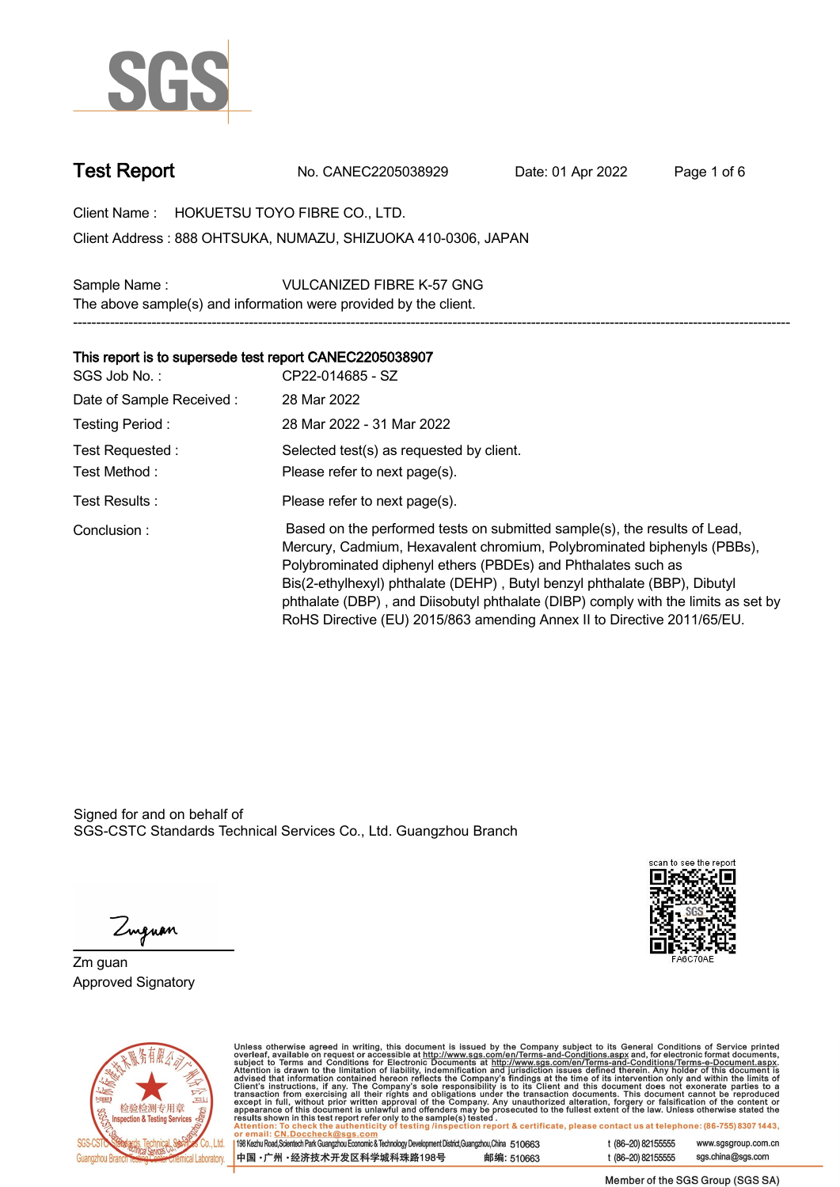

**Test Report. No. CANEC2205038929 . Date: 01 Apr 2022. Page 1 of 6.**

**Client Name : HOKUETSU TOYO FIBRE CO., LTD. .**

**888 OHTSUKA, NUMAZU, SHIZUOKA 410-0306, JAPAN . Client Address :**

**Sample Name : VULCANIZED FIBRE K-57 GNG . The above sample(s) and information were provided by the client.**

## **This report is to supersede test report CANEC2205038907.**

| SGS Job No.:             | CP22-014685 - SZ                                                                                                                                                                                                                                                                                                                                                                                                                                                   |
|--------------------------|--------------------------------------------------------------------------------------------------------------------------------------------------------------------------------------------------------------------------------------------------------------------------------------------------------------------------------------------------------------------------------------------------------------------------------------------------------------------|
| Date of Sample Received: | 28 Mar 2022                                                                                                                                                                                                                                                                                                                                                                                                                                                        |
| Testing Period:          | 28 Mar 2022 - 31 Mar 2022                                                                                                                                                                                                                                                                                                                                                                                                                                          |
| Test Requested:          | Selected test(s) as requested by client.                                                                                                                                                                                                                                                                                                                                                                                                                           |
| Test Method :            | Please refer to next page(s).                                                                                                                                                                                                                                                                                                                                                                                                                                      |
| Test Results:            | Please refer to next page(s).                                                                                                                                                                                                                                                                                                                                                                                                                                      |
| Conclusion:              | Based on the performed tests on submitted sample(s), the results of Lead,<br>Mercury, Cadmium, Hexavalent chromium, Polybrominated biphenyls (PBBs),<br>Polybrominated diphenyl ethers (PBDEs) and Phthalates such as<br>Bis(2-ethylhexyl) phthalate (DEHP), Butyl benzyl phthalate (BBP), Dibutyl<br>phthalate (DBP), and Diisobutyl phthalate (DIBP) comply with the limits as set by<br>RoHS Directive (EU) 2015/863 amending Annex II to Directive 2011/65/EU. |

**-----------------------------------------------------------------------------------------------------------------------------------------------------------**

Signed for and on behalf of SGS-CSTC Standards Technical Services Co., Ltd. Guangzhou Branch.



Zuguan

**Zm guan. Approved Signatory .**



Unless otherwise agreed in writing, this document is issued by the Company subject to its General Conditions of Service printed<br>overleaf, available on request or accessible at http://www.sgs.com/en/Terms-and-Conditions.as

| 198 Kezhu Road, Scientech Park Guangzhou Economic & Technology Development District, Guangzhou, China 510663 |            |  |
|--------------------------------------------------------------------------------------------------------------|------------|--|
| 中国 •广州 •经济技术开发区科学城科珠路198号 ;                                                                                  | 邮编: 510663 |  |

t (86-20) 82155555 www.sgsgroup.com.cn sgs.china@sgs.com t (86-20) 82155555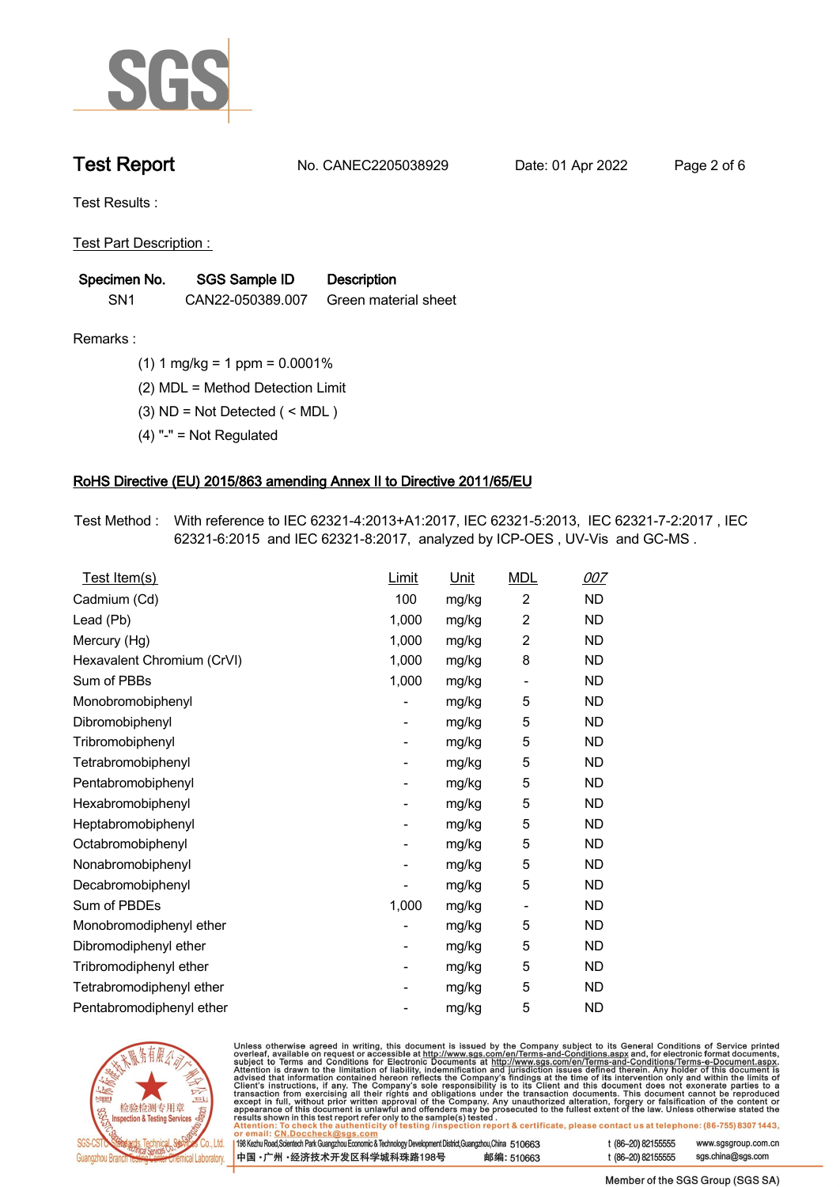

**Test Report. No. CANEC2205038929 . Date: 01 Apr 2022. Page 2 of 6.**

**Test Results :.**

**Test Part Description : .**

| Specimen No.    | <b>SGS Sample ID</b> | <b>Description</b>   |
|-----------------|----------------------|----------------------|
| SN <sub>1</sub> | CAN22-050389.007     | Green material sheet |

- **Remarks :.(1) 1 mg/kg = 1 ppm = 0.0001% .**
	- **(2) MDL = Method Detection Limit .**
	- **(3) ND = Not Detected ( < MDL ) .**
	- **(4) "-" = Not Regulated .**

## **RoHS Directive (EU) 2015/863 amending Annex II to Directive 2011/65/EU.**

**Test Method :. With reference to IEC 62321-4:2013+A1:2017, IEC 62321-5:2013, IEC 62321-7-2:2017 , IEC 62321-6:2015 and IEC 62321-8:2017, analyzed by ICP-OES , UV-Vis and GC-MS . .**

| Test Item(s)               | Limit                    | Unit  | <b>MDL</b>                   | 007       |
|----------------------------|--------------------------|-------|------------------------------|-----------|
| Cadmium (Cd)               | 100                      | mg/kg | $\overline{c}$               | <b>ND</b> |
| Lead (Pb)                  | 1,000                    | mg/kg | $\overline{c}$               | <b>ND</b> |
| Mercury (Hg)               | 1,000                    | mg/kg | $\overline{2}$               | <b>ND</b> |
| Hexavalent Chromium (CrVI) | 1,000                    | mg/kg | 8                            | <b>ND</b> |
| Sum of PBBs                | 1,000                    | mg/kg | $\qquad \qquad \blacksquare$ | <b>ND</b> |
| Monobromobiphenyl          |                          | mg/kg | 5                            | <b>ND</b> |
| Dibromobiphenyl            | -                        | mg/kg | 5                            | ND        |
| Tribromobiphenyl           | $\overline{\phantom{a}}$ | mg/kg | 5                            | <b>ND</b> |
| Tetrabromobiphenyl         |                          | mg/kg | 5                            | <b>ND</b> |
| Pentabromobiphenyl         | -                        | mg/kg | 5                            | <b>ND</b> |
| Hexabromobiphenyl          |                          | mg/kg | 5                            | <b>ND</b> |
| Heptabromobiphenyl         |                          | mg/kg | 5                            | <b>ND</b> |
| Octabromobiphenyl          | -                        | mg/kg | 5                            | <b>ND</b> |
| Nonabromobiphenyl          |                          | mg/kg | 5                            | <b>ND</b> |
| Decabromobiphenyl          |                          | mg/kg | 5                            | <b>ND</b> |
| Sum of PBDEs               | 1,000                    | mg/kg | $\qquad \qquad \blacksquare$ | <b>ND</b> |
| Monobromodiphenyl ether    |                          | mg/kg | 5                            | <b>ND</b> |
| Dibromodiphenyl ether      |                          | mg/kg | 5                            | <b>ND</b> |
| Tribromodiphenyl ether     | -                        | mg/kg | 5                            | ND.       |
| Tetrabromodiphenyl ether   |                          | mg/kg | 5                            | <b>ND</b> |
| Pentabromodiphenyl ether   |                          | mg/kg | 5                            | <b>ND</b> |
|                            |                          |       |                              |           |



Unless otherwise agreed in writing, this document is issued by the Company subject to its General Conditions of Service printed overleaf, available on request or accessible at http://www.sgs.com/en/Terms-and-Conditions.as

| or email: CN.Doccheck@sgs.com                                                                                |            |                    |                     |
|--------------------------------------------------------------------------------------------------------------|------------|--------------------|---------------------|
| 198 Kezhu Road, Scientech Park Guangzhou Economic & Technology Development District, Guangzhou, China 510663 |            | t (86-20) 82155555 | www.sgsgroup.com.cl |
| ┃中国 •广州 •经济技术开发区科学城科珠路198号 ↓                                                                                 | 邮编: 510663 | t (86-20) 82155555 | sgs.china@sgs.com   |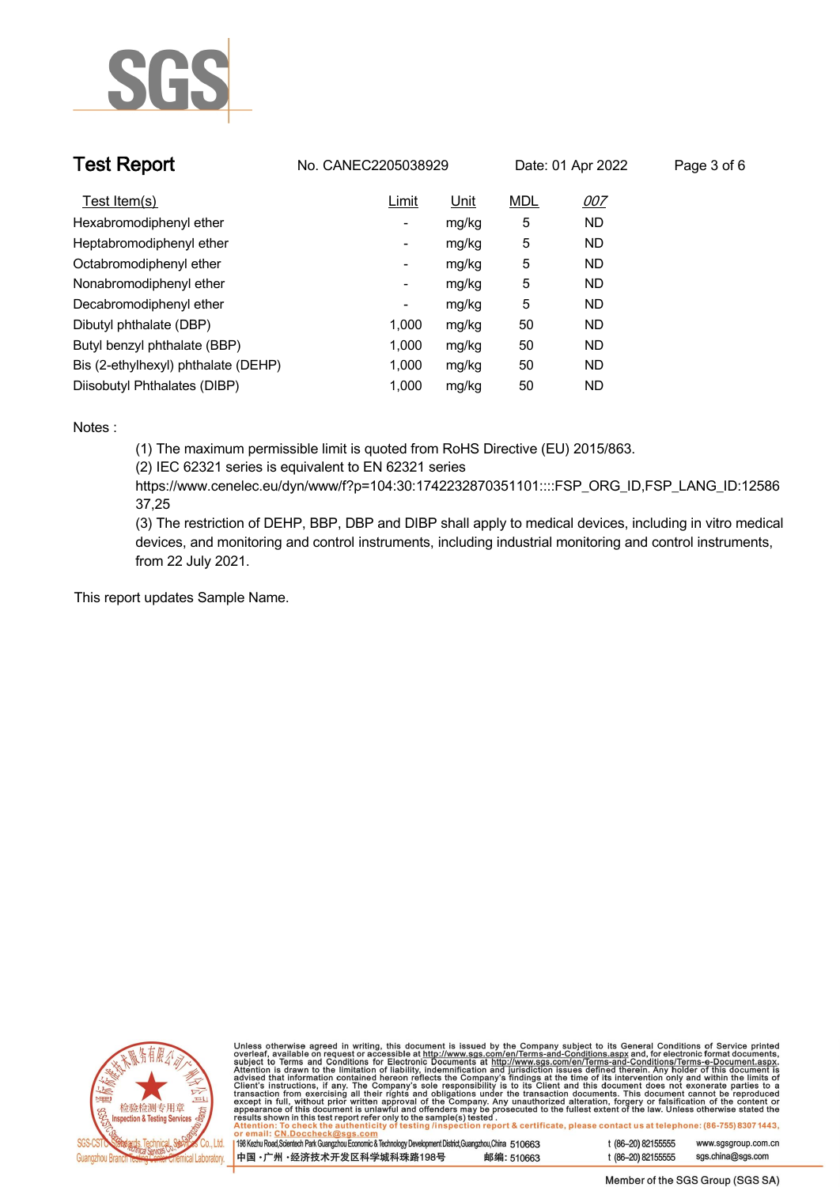

| <b>Test Report</b>                  | No. CANEC2205038929      |       |            | Date: 01 Apr 2022 | Page 3 of 6 |
|-------------------------------------|--------------------------|-------|------------|-------------------|-------------|
| Test Item(s)                        | Limit                    | Unit  | <b>MDL</b> | 007               |             |
| Hexabromodiphenyl ether             | ۰.                       | mg/kg | 5          | <b>ND</b>         |             |
| Heptabromodiphenyl ether            | ٠                        | mg/kg | 5          | <b>ND</b>         |             |
| Octabromodiphenyl ether             | Ξ.                       | mg/kg | 5          | <b>ND</b>         |             |
| Nonabromodiphenyl ether             | Ξ.                       | mg/kg | 5          | <b>ND</b>         |             |
| Decabromodiphenyl ether             | $\overline{\phantom{a}}$ | mg/kg | 5          | <b>ND</b>         |             |
| Dibutyl phthalate (DBP)             | 1.000                    | mg/kg | 50         | <b>ND</b>         |             |
| Butyl benzyl phthalate (BBP)        | 1.000                    | mg/kg | 50         | <b>ND</b>         |             |
| Bis (2-ethylhexyl) phthalate (DEHP) | 1.000                    | mg/kg | 50         | <b>ND</b>         |             |
| Diisobutyl Phthalates (DIBP)        | 1.000                    | mg/kg | 50         | ND                |             |

## **Notes :.**

**(1) The maximum permissible limit is quoted from RoHS Directive (EU) 2015/863.**

**(2) IEC 62321 series is equivalent to EN 62321 series**

**https://www.cenelec.eu/dyn/www/f?p=104:30:1742232870351101::::FSP\_ORG\_ID,FSP\_LANG\_ID:12586 37,25**

**(3) The restriction of DEHP, BBP, DBP and DIBP shall apply to medical devices, including in vitro medical devices, and monitoring and control instruments, including industrial monitoring and control instruments, from 22 July 2021..**

**This report updates Sample Name. .**



Unless otherwise agreed in writing, this document is issued by the Company subject to its General Conditions of Service printed<br>overleaf, available on request or accessible at http://www.sgs.com/en/Terms-and-Conditions.as

| 198 Kezhu Road, Scientech Park Guangzhou Economic & Technology Development District, Guangzhou, China 510663 |            |
|--------------------------------------------------------------------------------------------------------------|------------|
| 中国・广州 ・经济技术开发区科学城科珠路198号                                                                                     | 邮编: 510663 |

www.sgsgroup.com.cn

t (86-20) 82155555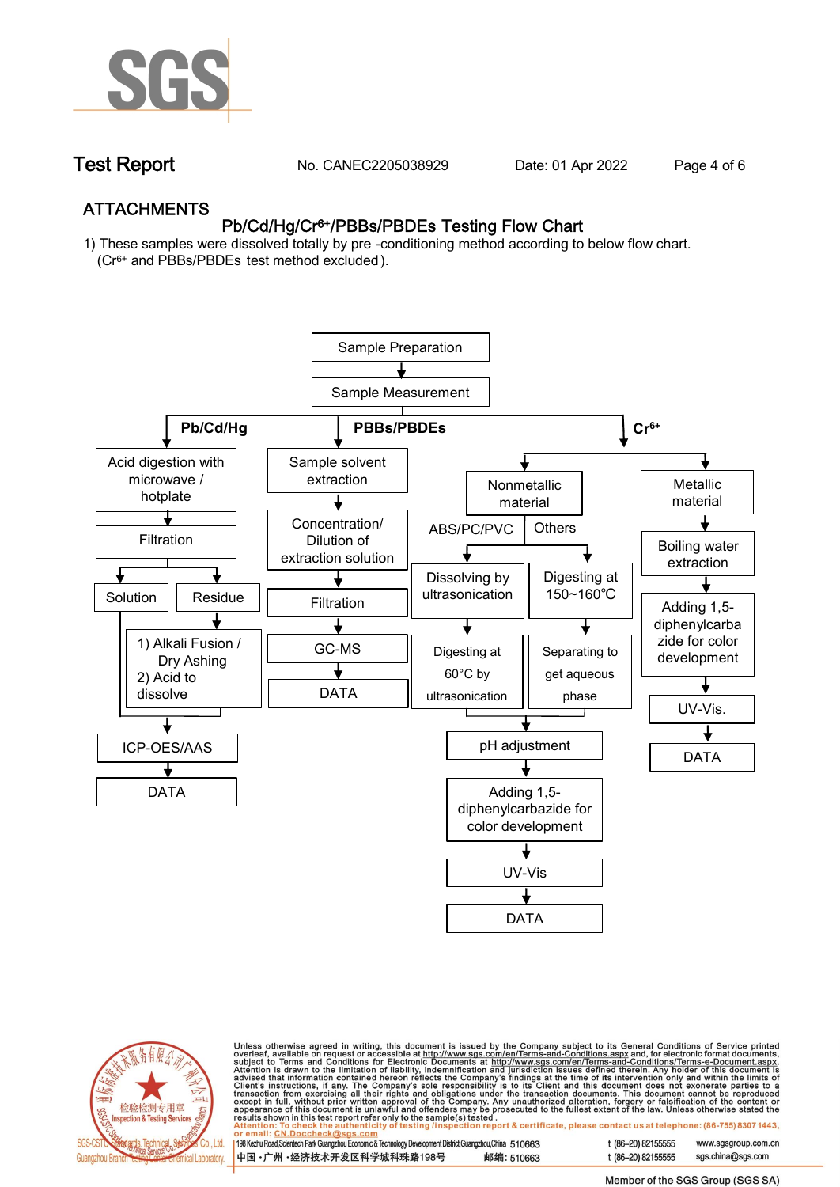

**Test Report. No. CANEC2205038929 . Date: 01 Apr 2022. Page 4 of 6.**

## **ATTACHMENTS Pb/Cd/Hg/Cr6+/PBBs/PBDEs Testing Flow Chart**

**1) These samples were dissolved totally by pre -conditioning method according to below flow chart. (Cr6+ and PBBs/PBDEs test method excluded ).**





Unless otherwise agreed in writing, this document is issued by the Company subject to its General Conditions of Service printed<br>overleaf, available on request or accessible at http://www.sgs.com/en/Terms-and-Conditions.as

| 198 Kezhu Road,Scientech Park Guangzhou Economic & Technology Development District,Guangzhou,China 510663 |            |
|-----------------------------------------------------------------------------------------------------------|------------|
| 中国・广州・经济技术开发区科学城科珠路198号                                                                                   | 邮编: 510663 |

t (86-20) 82155555 t (86-20) 82155555 sas.china@sas.com

www.sgsgroup.com.cn

Member of the SGS Group (SGS SA)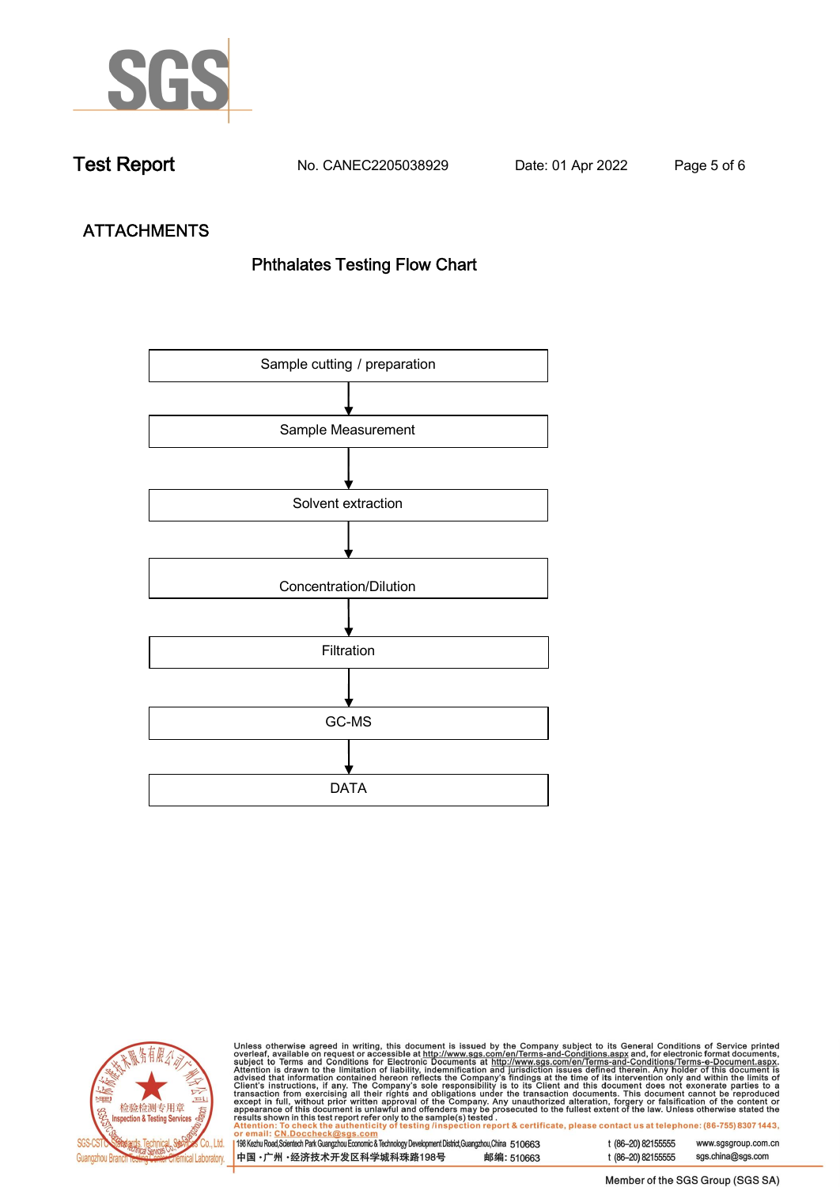

**Test Report. No. CANEC2205038929 . Date: 01 Apr 2022. Page 5 of 6.**

# **ATTACHMENTS Phthalates Testing Flow Chart**





Unless otherwise agreed in writing, this document is issued by the Company subject to its General Conditions of Service printed<br>overleaf, available on request or accessible at http://www.sgs.com/en/Terms-and-Conditions.as

| <u>UI CIIIAII. CN.DUCCIICCRIWSUS.COIII</u>                                                                |            |
|-----------------------------------------------------------------------------------------------------------|------------|
| 198 Kezhu Road,Scientech Park Guangzhou Economic & Technology Development District,Guangzhou,China 510663 |            |
|                                                                                                           |            |
| 中国 •广州 •经济技术开发区科学城科珠路198号                                                                                 | 邮编: 510663 |
|                                                                                                           |            |

t (86-20) 82155555 www.sgsgroup.com.cn t (86-20) 82155555 sgs.china@sgs.com